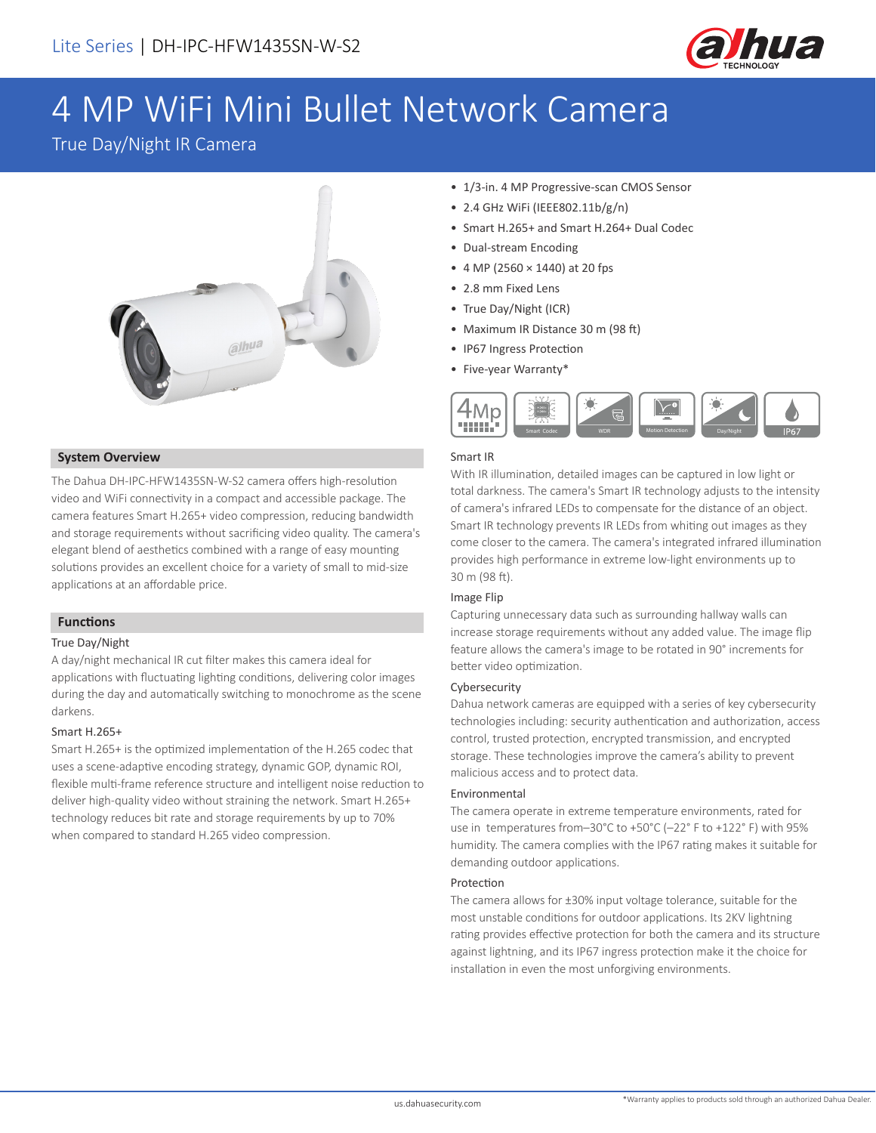

# 4 MP WiFi Mini Bullet Network Camera

True Day/Night IR Camera



#### **System Overview**

The Dahua DH-IPC-HFW1435SN-W-S2 camera offers high-resolution video and WiFi connectivity in a compact and accessible package. The camera features Smart H.265+ video compression, reducing bandwidth and storage requirements without sacrificing video quality. The camera's elegant blend of aesthetics combined with a range of easy mounting solutions provides an excellent choice for a variety of small to mid-size applications at an affordable price.

#### **Functions**

#### True Day/Night

A day/night mechanical IR cut filter makes this camera ideal for applications with fluctuating lighting conditions, delivering color images during the day and automatically switching to monochrome as the scene darkens.

#### Smart H.265+

Smart H.265+ is the optimized implementation of the H.265 codec that uses a scene-adaptive encoding strategy, dynamic GOP, dynamic ROI, flexible multi-frame reference structure and intelligent noise reduction to deliver high-quality video without straining the network. Smart H.265+ technology reduces bit rate and storage requirements by up to 70% when compared to standard H.265 video compression.

- 1/3-in. 4 MP Progressive-scan CMOS Sensor
- 2.4 GHz WiFi (IEEE802.11b/g/n)
- Smart H.265+ and Smart H.264+ Dual Codec
- Dual-stream Encoding
- 4 MP (2560 × 1440) at 20 fps
- 2.8 mm Fixed Lens
- True Day/Night (ICR)
- Maximum IR Distance 30 m (98 ft)
- IP67 Ingress Protection
- Five-year Warranty\*



#### Smart IR

With IR illumination, detailed images can be captured in low light or total darkness. The camera's Smart IR technology adjusts to the intensity of camera's infrared LEDs to compensate for the distance of an object. Smart IR technology prevents IR LEDs from whiting out images as they come closer to the camera. The camera's integrated infrared illumination provides high performance in extreme low-light environments up to 30 m (98 ft).

#### Image Flip

Capturing unnecessary data such as surrounding hallway walls can increase storage requirements without any added value. The image flip feature allows the camera's image to be rotated in 90° increments for better video optimization.

#### Cybersecurity

Dahua network cameras are equipped with a series of key cybersecurity technologies including: security authentication and authorization, access control, trusted protection, encrypted transmission, and encrypted storage. These technologies improve the camera's ability to prevent malicious access and to protect data.

#### Environmental

The camera operate in extreme temperature environments, rated for use in temperatures from–30°C to +50°C (–22° F to +122° F) with 95% humidity. The camera complies with the IP67 rating makes it suitable for demanding outdoor applications.

#### Protection

The camera allows for ±30% input voltage tolerance, suitable for the most unstable conditions for outdoor applications. Its 2KV lightning rating provides effective protection for both the camera and its structure against lightning, and its IP67 ingress protection make it the choice for installation in even the most unforgiving environments.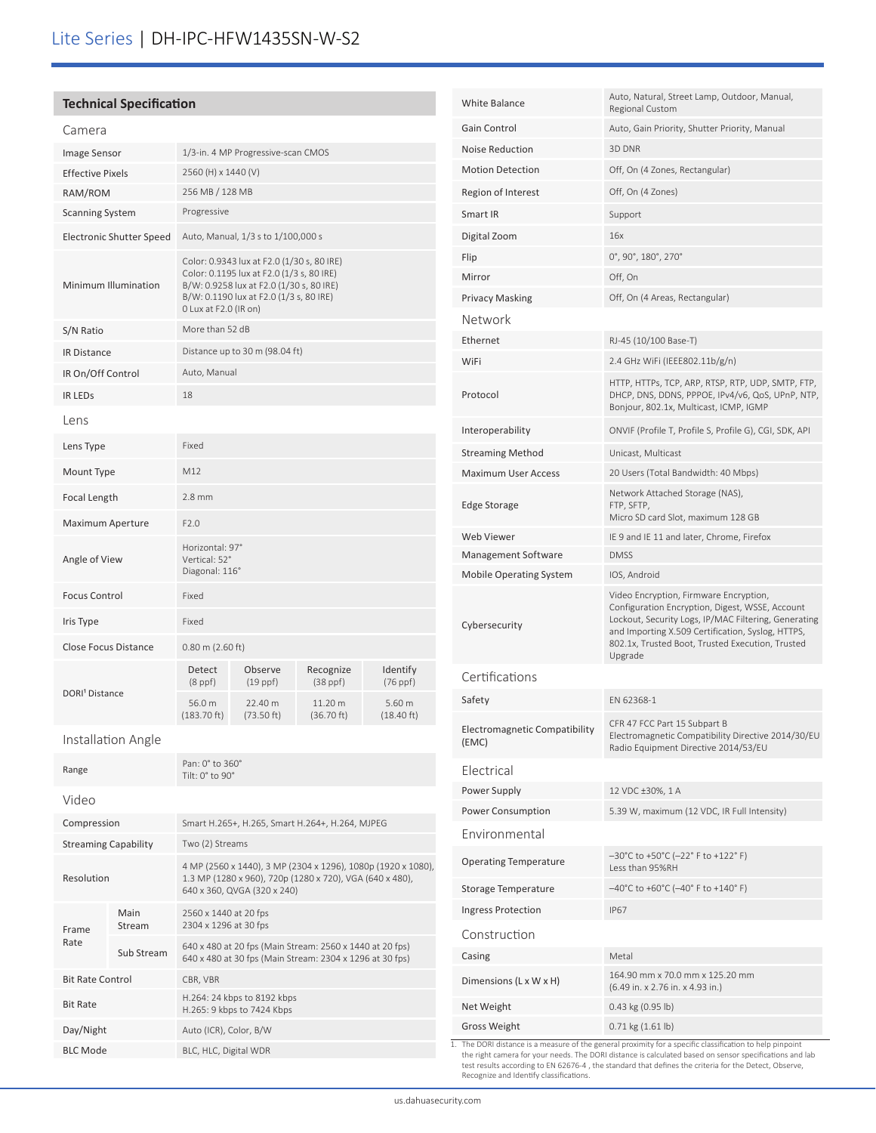### **Technical Specification**

| Camera                          |                                                                                                                                                                                                         |                          |                            |                                |  |
|---------------------------------|---------------------------------------------------------------------------------------------------------------------------------------------------------------------------------------------------------|--------------------------|----------------------------|--------------------------------|--|
| Image Sensor                    | 1/3-in. 4 MP Progressive-scan CMOS                                                                                                                                                                      |                          |                            |                                |  |
| <b>Effective Pixels</b>         | 2560 (H) x 1440 (V)                                                                                                                                                                                     |                          |                            |                                |  |
| RAM/ROM                         | 256 MB / 128 MB                                                                                                                                                                                         |                          |                            |                                |  |
| <b>Scanning System</b>          | Progressive                                                                                                                                                                                             |                          |                            |                                |  |
| <b>Electronic Shutter Speed</b> | Auto, Manual, 1/3 s to 1/100,000 s                                                                                                                                                                      |                          |                            |                                |  |
| Minimum Illumination            | Color: 0.9343 lux at F2.0 (1/30 s, 80 IRE)<br>Color: 0.1195 lux at F2.0 (1/3 s, 80 IRE)<br>B/W: 0.9258 lux at F2.0 (1/30 s, 80 IRE)<br>B/W: 0.1190 lux at F2.0 (1/3 s, 80 IRE)<br>0 Lux at F2.0 (IR on) |                          |                            |                                |  |
| S/N Ratio                       | More than 52 dB                                                                                                                                                                                         |                          |                            |                                |  |
| <b>IR Distance</b>              | Distance up to 30 m (98.04 ft)                                                                                                                                                                          |                          |                            |                                |  |
| IR On/Off Control               | Auto, Manual                                                                                                                                                                                            |                          |                            |                                |  |
| <b>IR LEDS</b>                  | 18                                                                                                                                                                                                      |                          |                            |                                |  |
| Lens                            |                                                                                                                                                                                                         |                          |                            |                                |  |
| Lens Type                       | Fixed                                                                                                                                                                                                   |                          |                            |                                |  |
| Mount Type                      | M12                                                                                                                                                                                                     |                          |                            |                                |  |
| Focal Length                    | $2.8$ mm                                                                                                                                                                                                |                          |                            |                                |  |
| Maximum Aperture                | F2.0                                                                                                                                                                                                    |                          |                            |                                |  |
| Angle of View                   | Horizontal: 97°<br>Vertical: 52°<br>Diagonal: 116°                                                                                                                                                      |                          |                            |                                |  |
| <b>Focus Control</b>            | Fixed                                                                                                                                                                                                   |                          |                            |                                |  |
| Iris Type                       | Fixed                                                                                                                                                                                                   |                          |                            |                                |  |
| <b>Close Focus Distance</b>     | $0.80$ m (2.60 ft)                                                                                                                                                                                      |                          |                            |                                |  |
| DORI <sup>1</sup> Distance      | Detect<br>$(8$ ppf $)$                                                                                                                                                                                  | Observe<br>$(19$ ppf $)$ | Recognize<br>$(38$ ppf $)$ | Identify<br>$(76$ ppf $)$      |  |
|                                 | 56.0 m<br>$(183.70)$ ft)                                                                                                                                                                                | 22.40 m<br>(73.50 ft)    | 11.20 m<br>(36.70 ft)      | 5.60 m<br>$(18.40 \text{ ft})$ |  |
| Installation Angle              |                                                                                                                                                                                                         |                          |                            |                                |  |
|                                 | Pan: 0° to 360°                                                                                                                                                                                         |                          |                            |                                |  |

|                             | Pan: 0° to 360°<br>Tilt: $0^\circ$ to $90^\circ$                                                                                                        |  |
|-----------------------------|---------------------------------------------------------------------------------------------------------------------------------------------------------|--|
|                             |                                                                                                                                                         |  |
| Compression                 | Smart H.265+, H.265, Smart H.264+, H.264, MJPEG                                                                                                         |  |
| <b>Streaming Capability</b> | Two (2) Streams                                                                                                                                         |  |
| Resolution                  | 4 MP (2560 x 1440), 3 MP (2304 x 1296), 1080p (1920 x 1080),<br>1.3 MP (1280 x 960), 720p (1280 x 720), VGA (640 x 480),<br>640 x 360, QVGA (320 x 240) |  |
| Main<br>Stream              | 2560 x 1440 at 20 fps<br>2304 x 1296 at 30 fps                                                                                                          |  |
| Sub Stream                  | 640 x 480 at 20 fps (Main Stream: 2560 x 1440 at 20 fps)<br>640 x 480 at 30 fps (Main Stream: 2304 x 1296 at 30 fps)                                    |  |
| <b>Bit Rate Control</b>     | CBR, VBR                                                                                                                                                |  |
|                             | H.264: 24 kbps to 8192 kbps<br>H.265: 9 kbps to 7424 Kbps                                                                                               |  |
|                             | Auto (ICR), Color, B/W                                                                                                                                  |  |
|                             | BLC, HLC, Digital WDR                                                                                                                                   |  |
|                             |                                                                                                                                                         |  |

| White Balance                          | Auto, Natural, Street Lamp, Outdoor, Manual,<br>Regional Custom                                                                                                                                                                                                       |
|----------------------------------------|-----------------------------------------------------------------------------------------------------------------------------------------------------------------------------------------------------------------------------------------------------------------------|
| Gain Control                           | Auto, Gain Priority, Shutter Priority, Manual                                                                                                                                                                                                                         |
| <b>Noise Reduction</b>                 | 3D DNR                                                                                                                                                                                                                                                                |
| <b>Motion Detection</b>                | Off, On (4 Zones, Rectangular)                                                                                                                                                                                                                                        |
| Region of Interest                     | Off, On (4 Zones)                                                                                                                                                                                                                                                     |
| Smart IR                               | Support                                                                                                                                                                                                                                                               |
| Digital Zoom                           | 16x                                                                                                                                                                                                                                                                   |
| Flip                                   | $0^\circ$ , 90 $^\circ$ , 180 $^\circ$ , 270 $^\circ$                                                                                                                                                                                                                 |
| Mirror                                 | Off, On                                                                                                                                                                                                                                                               |
| <b>Privacy Masking</b>                 | Off, On (4 Areas, Rectangular)                                                                                                                                                                                                                                        |
| Network                                |                                                                                                                                                                                                                                                                       |
| Ethernet                               | RJ-45 (10/100 Base-T)                                                                                                                                                                                                                                                 |
| WiFi                                   | 2.4 GHz WiFi (IEEE802.11b/g/n)                                                                                                                                                                                                                                        |
| Protocol                               | HTTP, HTTPs, TCP, ARP, RTSP, RTP, UDP, SMTP, FTP,<br>DHCP, DNS, DDNS, PPPOE, IPv4/v6, QoS, UPnP, NTP,<br>Bonjour, 802.1x, Multicast, ICMP, IGMP                                                                                                                       |
| Interoperability                       | ONVIF (Profile T, Profile S, Profile G), CGI, SDK, API                                                                                                                                                                                                                |
| <b>Streaming Method</b>                | Unicast, Multicast                                                                                                                                                                                                                                                    |
| <b>Maximum User Access</b>             | 20 Users (Total Bandwidth: 40 Mbps)                                                                                                                                                                                                                                   |
| <b>Edge Storage</b>                    | Network Attached Storage (NAS),<br>FTP, SFTP,<br>Micro SD card Slot, maximum 128 GB                                                                                                                                                                                   |
| Web Viewer                             | IE 9 and IE 11 and later, Chrome, Firefox                                                                                                                                                                                                                             |
| Management Software                    | <b>DMSS</b>                                                                                                                                                                                                                                                           |
| <b>Mobile Operating System</b>         | IOS, Android                                                                                                                                                                                                                                                          |
| Cybersecurity                          | Video Encryption, Firmware Encryption,<br>Configuration Encryption, Digest, WSSE, Account<br>Lockout, Security Logs, IP/MAC Filtering, Generating<br>and Importing X.509 Certification, Syslog, HTTPS,<br>802.1x, Trusted Boot, Trusted Execution, Trusted<br>Upgrade |
| Certifications                         |                                                                                                                                                                                                                                                                       |
| Safety                                 | EN 62368-1                                                                                                                                                                                                                                                            |
| Electromagnetic Compatibility<br>(EMC) | CFR 47 FCC Part 15 Subpart B<br>Electromagnetic Compatibility Directive 2014/30/EU<br>Radio Equipment Directive 2014/53/EU                                                                                                                                            |
| Electrical                             |                                                                                                                                                                                                                                                                       |
| Power Supply                           | 12 VDC ±30%, 1 A                                                                                                                                                                                                                                                      |
| Power Consumption                      | 5.39 W, maximum (12 VDC, IR Full Intensity)                                                                                                                                                                                                                           |
| Environmental                          |                                                                                                                                                                                                                                                                       |
|                                        |                                                                                                                                                                                                                                                                       |
| <b>Operating Temperature</b>           | $-30^{\circ}$ C to +50 $^{\circ}$ C (-22 $^{\circ}$ F to +122 $^{\circ}$ F)<br>Less than 95%RH                                                                                                                                                                        |
| Storage Temperature                    | $-40^{\circ}$ C to +60 $^{\circ}$ C (-40 $^{\circ}$ F to +140 $^{\circ}$ F)                                                                                                                                                                                           |
| <b>Ingress Protection</b>              | <b>IP67</b>                                                                                                                                                                                                                                                           |
| Construction                           |                                                                                                                                                                                                                                                                       |
| Casing                                 | Metal                                                                                                                                                                                                                                                                 |
| Dimensions (L x W x H)                 | 164.90 mm x 70.0 mm x 125.20 mm<br>(6.49 in. x 2.76 in. x 4.93 in.)                                                                                                                                                                                                   |
| Net Weight                             | 0.43 kg (0.95 lb)                                                                                                                                                                                                                                                     |
| <b>Gross Weight</b>                    | $0.71$ kg $(1.61$ lb)                                                                                                                                                                                                                                                 |

1. The DORI distance is a measure of the general proximity for a specific classification to help pinpoint<br>the right camera for your needs. The DORI distance is calculated based on sensor specifications and lab<br>test results